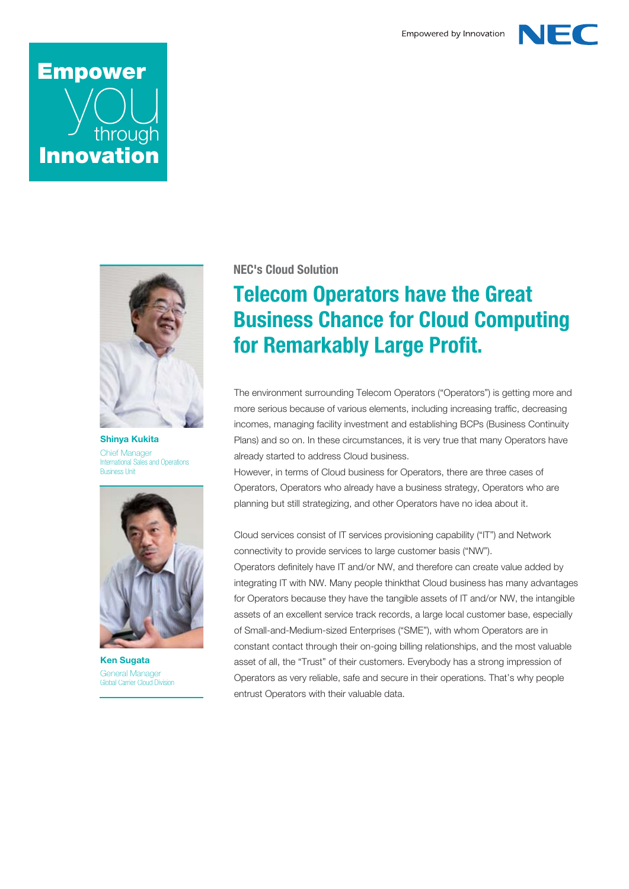

# **Empower** through **Innovation**



**Shinya Kukita** Chief Manager International Sales and Operations Business Unit



**Ken Sugata** General Manager Global Carrier Cloud Division

#### **NEC's Cloud Solution**

## **Telecom Operators have the Great Business Chance for Cloud Computing for Remarkably Large Profit.**

The environment surrounding Telecom Operators ("Operators") is getting more and more serious because of various elements, including increasing traffic, decreasing incomes, managing facility investment and establishing BCPs (Business Continuity Plans) and so on. In these circumstances, it is very true that many Operators have already started to address Cloud business.

However, in terms of Cloud business for Operators, there are three cases of Operators, Operators who already have a business strategy, Operators who are planning but still strategizing, and other Operators have no idea about it.

Cloud services consist of IT services provisioning capability ("IT") and Network connectivity to provide services to large customer basis ("NW").

Operators definitely have IT and/or NW, and therefore can create value added by integrating IT with NW. Many people thinkthat Cloud business has many advantages for Operators because they have the tangible assets of IT and/or NW, the intangible assets of an excellent service track records, a large local customer base, especially of Small-and-Medium-sized Enterprises ("SME"), with whom Operators are in constant contact through their on-going billing relationships, and the most valuable asset of all, the "Trust" of their customers. Everybody has a strong impression of Operators as very reliable, safe and secure in their operations. That's why people entrust Operators with their valuable data.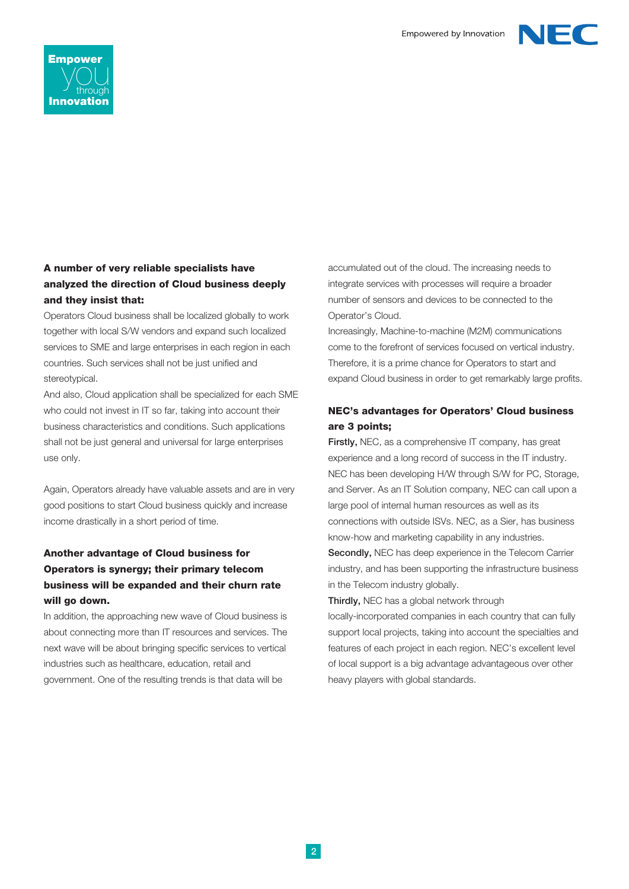



#### **A number of very reliable specialists have analyzed the direction of Cloud business deeply and they insist that:**

Operators Cloud business shall be localized globally to work together with local S/W vendors and expand such localized services to SME and large enterprises in each region in each countries. Such services shall not be just unified and stereotypical.

And also, Cloud application shall be specialized for each SME who could not invest in IT so far, taking into account their business characteristics and conditions. Such applications shall not be just general and universal for large enterprises use only.

Again, Operators already have valuable assets and are in very good positions to start Cloud business quickly and increase income drastically in a short period of time.

### **Another advantage of Cloud business for Operators is synergy; their primary telecom business will be expanded and their churn rate will go down.**

In addition, the approaching new wave of Cloud business is about connecting more than IT resources and services. The next wave will be about bringing specific services to vertical industries such as healthcare, education, retail and government. One of the resulting trends is that data will be

accumulated out of the cloud. The increasing needs to integrate services with processes will require a broader number of sensors and devices to be connected to the Operator's Cloud.

Increasingly, Machine-to-machine (M2M) communications come to the forefront of services focused on vertical industry. Therefore, it is a prime chance for Operators to start and expand Cloud business in order to get remarkably large profits.

#### **NEC's advantages for Operators' Cloud business are 3 points;**

**Firstly,** NEC, as a comprehensive IT company, has great experience and a long record of success in the IT industry. NEC has been developing H/W through S/W for PC, Storage, and Server. As an IT Solution company, NEC can call upon a large pool of internal human resources as well as its connections with outside ISVs. NEC, as a Sier, has business know-how and marketing capability in any industries. **Secondly,** NEC has deep experience in the Telecom Carrier

industry, and has been supporting the infrastructure business in the Telecom industry globally.

**Thirdly,** NEC has a global network through

locally-incorporated companies in each country that can fully support local projects, taking into account the specialties and features of each project in each region. NEC's excellent level of local support is a big advantage advantageous over other heavy players with global standards.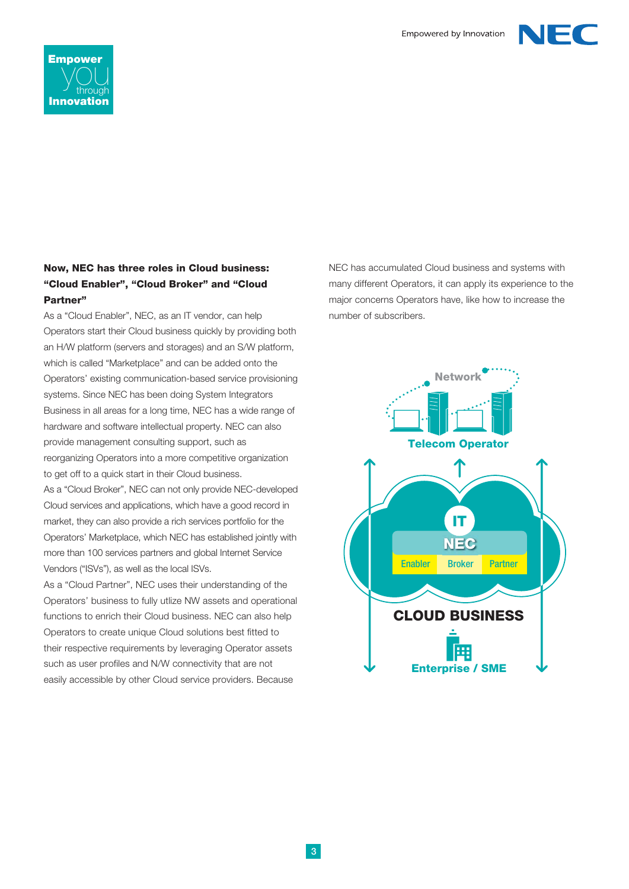



#### **Now, NEC has three roles in Cloud business: "Cloud Enabler", "Cloud Broker" and "Cloud Partner"**

As a "Cloud Enabler", NEC, as an IT vendor, can help Operators start their Cloud business quickly by providing both an H/W platform (servers and storages) and an S/W platform, which is called "Marketplace" and can be added onto the Operators' existing communication-based service provisioning systems. Since NEC has been doing System Integrators Business in all areas for a long time, NEC has a wide range of hardware and software intellectual property. NEC can also provide management consulting support, such as reorganizing Operators into a more competitive organization to get off to a quick start in their Cloud business.

As a "Cloud Broker", NEC can not only provide NEC-developed Cloud services and applications, which have a good record in market, they can also provide a rich services portfolio for the Operators' Marketplace, which NEC has established jointly with more than 100 services partners and global Internet Service Vendors ("ISVs"), as well as the local ISVs.

As a "Cloud Partner", NEC uses their understanding of the Operators' business to fully utlize NW assets and operational functions to enrich their Cloud business. NEC can also help Operators to create unique Cloud solutions best fitted to their respective requirements by leveraging Operator assets such as user profiles and N/W connectivity that are not easily accessible by other Cloud service providers. Because

NEC has accumulated Cloud business and systems with many different Operators, it can apply its experience to the major concerns Operators have, like how to increase the number of subscribers.